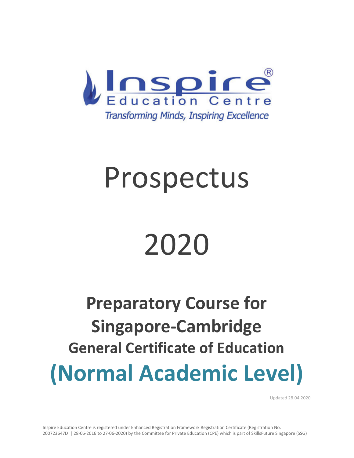

# Prospectus

# 2020

# **Preparatory Course for Singapore-Cambridge General Certificate of Education (Normal Academic Level)**

Updated 28.04.2020

Inspire Education Centre is registered under Enhanced Registration Framework Registration Certificate (Registration No. 200723647D | 28-06-2016 to 27-06-2020) by the Committee for Private Education (CPE) which is part of SkillsFuture Singapore (SSG)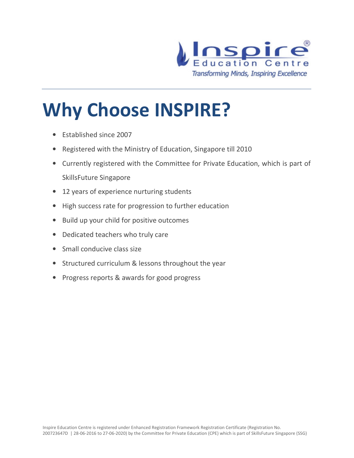

# **Why Choose INSPIRE?**

- Established since 2007
- Registered with the Ministry of Education, Singapore till 2010
- Currently registered with the Committee for Private Education, which is part of SkillsFuture Singapore
- 12 years of experience nurturing students
- High success rate for progression to further education
- Build up your child for positive outcomes
- Dedicated teachers who truly care
- Small conducive class size
- Structured curriculum & lessons throughout the year
- Progress reports & awards for good progress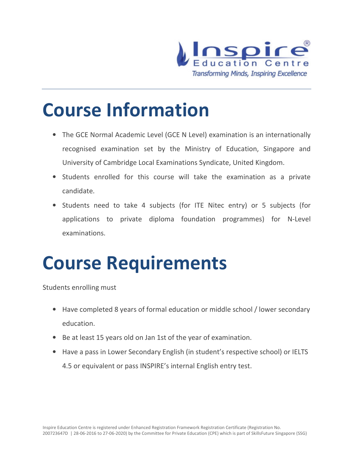

### **Course Information**

- The GCE Normal Academic Level (GCE N Level) examination is an internationally recognised examination set by the Ministry of Education, Singapore and University of Cambridge Local Examinations Syndicate, United Kingdom.
- Students enrolled for this course will take the examination as a private candidate.
- Students need to take 4 subjects (for ITE Nitec entry) or 5 subjects (for applications to private diploma foundation programmes) for N-Level examinations.

### **Course Requirements**

Students enrolling must

- Have completed 8 years of formal education or middle school / lower secondary education.
- Be at least 15 years old on Jan 1st of the year of examination.
- Have a pass in Lower Secondary English (in student's respective school) or IELTS 4.5 or equivalent or pass INSPIRE's internal English entry test.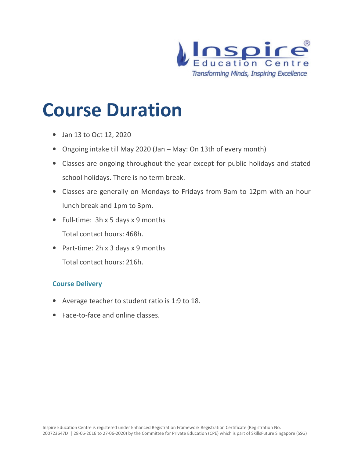

### **Course Duration**

- Jan 13 to Oct 12, 2020
- Ongoing intake till May 2020 (Jan May: On 13th of every month)
- Classes are ongoing throughout the year except for public holidays and stated school holidays. There is no term break.
- Classes are generally on Mondays to Fridays from 9am to 12pm with an hour lunch break and 1pm to 3pm.
- Full-time: 3h x 5 days x 9 months Total contact hours: 468h.
- Part-time: 2h x 3 days x 9 months Total contact hours: 216h.

#### **Course Delivery**

- Average teacher to student ratio is 1:9 to 18.
- Face-to-face and online classes.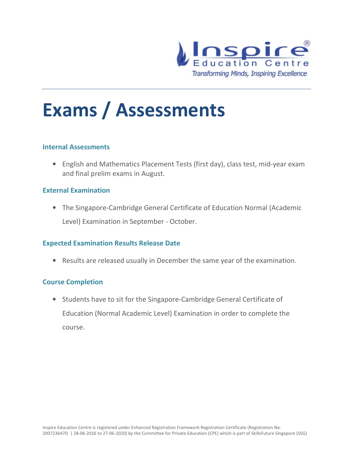

### **Exams / Assessments**

#### **Internal Assessments**

• English and Mathematics Placement Tests (first day), class test, mid-year exam and final prelim exams in August.

#### **External Examination**

• The Singapore-Cambridge General Certificate of Education Normal (Academic Level) Examination in September - October.

#### **Expected Examination Results Release Date**

• Results are released usually in December the same year of the examination.

#### **Course Completion**

• Students have to sit for the Singapore-Cambridge General Certificate of Education (Normal Academic Level) Examination in order to complete the course.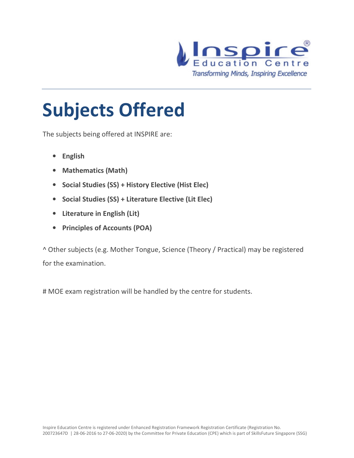

## **Subjects Offered**

The subjects being offered at INSPIRE are:

- **English**
- **Mathematics (Math)**
- **Social Studies (SS) + History Elective (Hist Elec)**
- **Social Studies (SS) + Literature Elective (Lit Elec)**
- **Literature in English (Lit)**
- **Principles of Accounts (POA)**

^ Other subjects (e.g. Mother Tongue, Science (Theory / Practical) may be registered for the examination.

# MOE exam registration will be handled by the centre for students.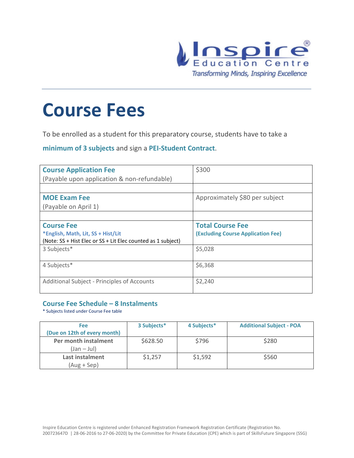

### **Course Fees**

To be enrolled as a student for this preparatory course, students have to take a

**minimum of 3 subjects** and sign a **PEI-Student Contract**.

| <b>Course Application Fee</b>                                | \$300                                     |
|--------------------------------------------------------------|-------------------------------------------|
| (Payable upon application & non-refundable)                  |                                           |
|                                                              |                                           |
| <b>MOE Exam Fee</b>                                          | Approximately \$80 per subject            |
| (Payable on April 1)                                         |                                           |
|                                                              |                                           |
| <b>Course Fee</b>                                            | <b>Total Course Fee</b>                   |
| *English, Math, Lit, SS + Hist/Lit                           | <b>(Excluding Course Application Fee)</b> |
| (Note: SS + Hist Elec or SS + Lit Elec counted as 1 subject) |                                           |
| 3 Subjects*                                                  | \$5,028                                   |
|                                                              |                                           |
| 4 Subjects*                                                  | \$6,368                                   |
|                                                              |                                           |
| Additional Subject - Principles of Accounts                  | \$2,240                                   |
|                                                              |                                           |

#### **Course Fee Schedule – 8 Instalments**

\* Subjects listed under Course Fee table

| <b>Fee</b><br>(Due on 12th of every month) | 3 Subjects* | 4 Subjects* | <b>Additional Subject - POA</b> |
|--------------------------------------------|-------------|-------------|---------------------------------|
| Per month instalment<br>$(Jan - Jul)$      | \$628.50    | \$796       | \$280                           |
| Last instalment<br>$(Aug + Sep)$           | \$1,257     | \$1,592     | \$560                           |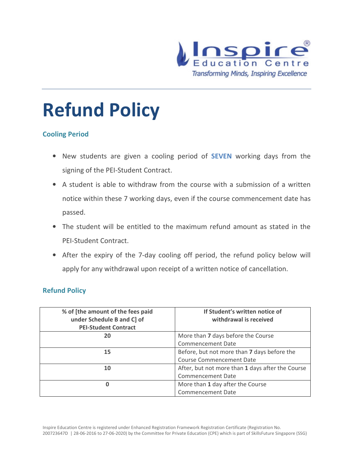

# **Refund Policy**

#### **Cooling Period**

- New students are given a cooling period of **SEVEN** working days from the signing of the PEI-Student Contract.
- A student is able to withdraw from the course with a submission of a written notice within these 7 working days, even if the course commencement date has passed.
- The student will be entitled to the maximum refund amount as stated in the PEI-Student Contract.
- After the expiry of the 7-day cooling off period, the refund policy below will apply for any withdrawal upon receipt of a written notice of cancellation.

#### **Refund Policy**

| % of [the amount of the fees paid | If Student's written notice of                   |
|-----------------------------------|--------------------------------------------------|
| under Schedule B and C] of        | withdrawal is received                           |
| <b>PEI-Student Contract</b>       |                                                  |
| 20                                | More than 7 days before the Course               |
|                                   | <b>Commencement Date</b>                         |
| 15                                | Before, but not more than 7 days before the      |
|                                   | <b>Course Commencement Date</b>                  |
| 10                                | After, but not more than 1 days after the Course |
|                                   | <b>Commencement Date</b>                         |
| 0                                 | More than 1 day after the Course                 |
|                                   | <b>Commencement Date</b>                         |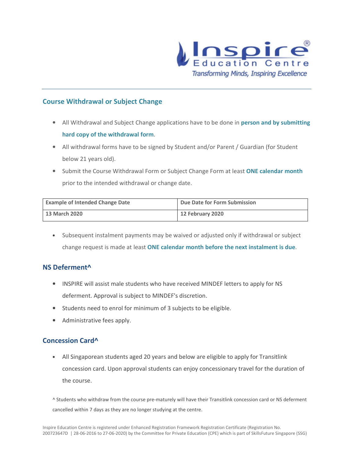

#### **Course Withdrawal or Subject Change**

- All Withdrawal and Subject Change applications have to be done in **person and by submitting hard copy of the withdrawal form**.
- All withdrawal forms have to be signed by Student and/or Parent / Guardian (for Student below 21 years old).
- Submit the Course Withdrawal Form or Subject Change Form at least **ONE calendar month** prior to the intended withdrawal or change date.

| <b>Example of Intended Change Date</b> | Due Date for Form Submission |
|----------------------------------------|------------------------------|
| 13 March 2020                          | <b>12 February 2020</b>      |

• Subsequent instalment payments may be waived or adjusted only if withdrawal or subject change request is made at least **ONE calendar month before the next instalment is due**.

#### **NS Deferment^**

- INSPIRE will assist male students who have received MINDEF letters to apply for NS deferment. Approval is subject to MINDEF's discretion.
- Students need to enrol for minimum of 3 subjects to be eligible.
- Administrative fees apply.

#### **Concession Card^**

• All Singaporean students aged 20 years and below are eligible to apply for Transitlink concession card. Upon approval students can enjoy concessionary travel for the duration of the course.

^ Students who withdraw from the course pre-maturely will have their Transitlink concession card or NS deferment cancelled within 7 days as they are no longer studying at the centre.